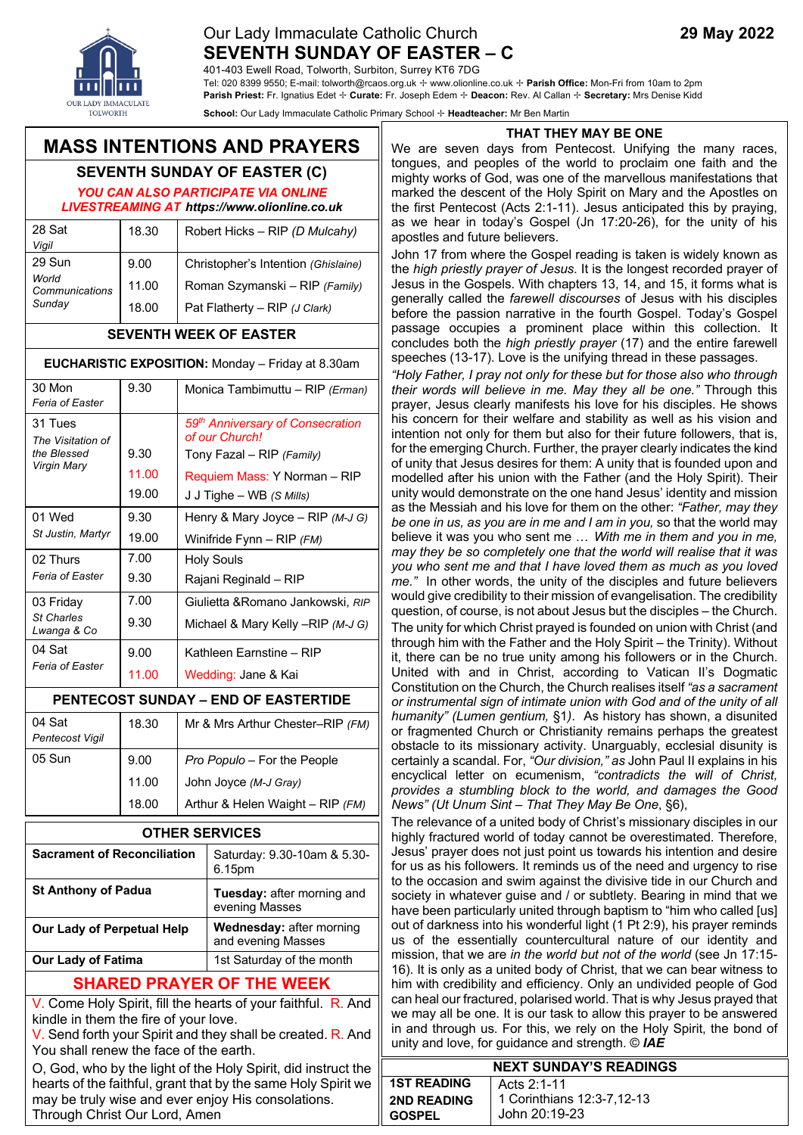## Our Lady Immaculate Catholic Church **29 May 2022 SEVENTH SUNDAY OF EASTER – C**

401-403 Ewell Road, Tolworth, Surbiton, Surrey KT6 7DG

Tel: 020 8399 9550; E-mail: tolworth@rcaos.org.uk ✢ www.olionline.co.uk ✢ **Parish Office:** Mon-Fri from 10am to 2pm **Parish Priest:** Fr. Ignatius Edet ✢ **Curate:** Fr. Joseph Edem ✢ **Deacon:** Rev. Al Callan ✢ **Secretary:** Mrs Denise Kidd

**School:** Our Lady Immaculate Catholic Primary School ✢ **Headteacher:** Mr Ben Martin

# **MASS INTENTIONS AND PRAYERS**

# **SEVENTH SUNDAY OF EASTER (C)**

*YOU CAN ALSO PARTICIPATE VIA ONLINE LIVESTREAMING AT https://www.olionline.co.uk*

| 28 Sat<br>Vigil         | 18.30 | Robert Hicks - RIP (D Mulcahy)           |
|-------------------------|-------|------------------------------------------|
| 29 Sun                  | 9.00  | Christopher's Intention (Ghislaine)      |
| World<br>Communications | 11.00 | Roman Szymanski - RIP (Family)           |
| Sunday                  | 18.00 | Pat Flatherty – $RIP$ ( <i>J Clark</i> ) |

#### **SEVENTH WEEK OF EASTER**

#### **EUCHARISTIC EXPOSITION:** Monday – Friday at 8.30am

| 30 Mon<br>Feria of Easter                                  | 9.30  | Monica Tambimuttu - RIP (Erman)                                |
|------------------------------------------------------------|-------|----------------------------------------------------------------|
| 31 Tues<br>The Visitation of<br>the Blessed<br>Virgin Mary |       | 59 <sup>th</sup> Anniversary of Consecration<br>of our Church! |
|                                                            | 9.30  | Tony Fazal – RIP (Family)                                      |
|                                                            | 11.00 | Requiem Mass: Y Norman - RIP                                   |
|                                                            | 19.00 | J J Tighe – WB (S Mills)                                       |
| 01 Wed<br>St Justin, Martyr                                | 9.30  | Henry & Mary Joyce – $RIP(M-JG)$                               |
|                                                            | 19.00 | Winifride $F$ ynn – RIP $(FM)$                                 |
| 02 Thurs<br>Feria of Easter                                | 7.00  | Holy Souls                                                     |
|                                                            | 9.30  | Rajani Reginald - RIP                                          |
| 03 Friday<br><b>St Charles</b><br>Lwanga & Co              | 7.00  | Giulietta & Romano Jankowski, RIP                              |
|                                                            | 9.30  | Michael & Mary Kelly -- RIP (M-J G)                            |
| 04 Sat<br>Feria of Easter                                  | 9.00  | Kathleen Earnstine - RIP                                       |
|                                                            | 11.00 | Wedding: Jane & Kai                                            |

#### **PENTECOST SUNDAY – END OF EASTERTIDE**

| 04 Sat<br>Pentecost Vigil | 18.30 | Mr & Mrs Arthur Chester-RIP (FM) |
|---------------------------|-------|----------------------------------|
| 05 Sun                    | 9.00  | Pro Populo - For the People      |
|                           | 11.00 | John Joyce (M-J Gray)            |
|                           | 18.00 | Arthur & Helen Waight - RIP (FM) |

| <b>OTHER SERVICES</b>              |                                                       |  |
|------------------------------------|-------------------------------------------------------|--|
| <b>Sacrament of Reconciliation</b> | Saturday: 9.30-10am & 5.30-<br>6.15pm                 |  |
| <b>St Anthony of Padua</b>         | Tuesday: after morning and<br>evening Masses          |  |
| <b>Our Lady of Perpetual Help</b>  | <b>Wednesday: after morning</b><br>and evening Masses |  |
| <b>Our Lady of Fatima</b>          | 1st Saturday of the month                             |  |

### **SHARED PRAYER OF THE WEEK**

V. Come Holy Spirit, fill the hearts of your faithful. R. And kindle in them the fire of your love.

V. Send forth your Spirit and they shall be created. R. And You shall renew the face of the earth.

O, God, who by the light of the Holy Spirit, did instruct the hearts of the faithful, grant that by the same Holy Spirit we may be truly wise and ever enjoy His consolations. Through Christ Our Lord, Amen

We are seven days from Pentecost. Unifying the many races, tongues, and peoples of the world to proclaim one faith and the mighty works of God, was one of the marvellous manifestations that marked the descent of the Holy Spirit on Mary and the Apostles on the first Pentecost (Acts 2:1-11). Jesus anticipated this by praying, as we hear in today's Gospel (Jn 17:20-26), for the unity of his apostles and future believers.

John 17 from where the Gospel reading is taken is widely known as the *high priestly prayer of Jesus*. It is the longest recorded prayer of Jesus in the Gospels. With chapters 13, 14, and 15, it forms what is generally called the *farewell discourses* of Jesus with his disciples before the passion narrative in the fourth Gospel. Today's Gospel passage occupies a prominent place within this collection. It concludes both the *high priestly prayer* (17) and the entire farewell speeches (13-17). Love is the unifying thread in these passages.

*"Holy Father, I pray not only for these but for those also who through their words will believe in me. May they all be one."* Through this prayer, Jesus clearly manifests his love for his disciples. He shows his concern for their welfare and stability as well as his vision and intention not only for them but also for their future followers, that is, for the emerging Church. Further, the prayer clearly indicates the kind of unity that Jesus desires for them: A unity that is founded upon and modelled after his union with the Father (and the Holy Spirit). Their unity would demonstrate on the one hand Jesus' identity and mission as the Messiah and his love for them on the other: *"Father, may they be one in us, as you are in me and I am in you,* so that the world may believe it was you who sent me … *With me in them and you in me, may they be so completely one that the world will realise that it was you who sent me and that I have loved them as much as you loved me."* In other words, the unity of the disciples and future believers would give credibility to their mission of evangelisation. The credibility question, of course, is not about Jesus but the disciples – the Church. The unity for which Christ prayed is founded on union with Christ (and through him with the Father and the Holy Spirit – the Trinity). Without it, there can be no true unity among his followers or in the Church. United with and in Christ, according to Vatican II's Dogmatic Constitution on the Church, the Church realises itself *"as a sacrament or instrumental sign of intimate union with God and of the unity of all humanity" (Lumen gentium,* §1*)*. As history has shown, a disunited or fragmented Church or Christianity remains perhaps the greatest obstacle to its missionary activity. Unarguably, ecclesial disunity is certainly a scandal. For, *"Our division," as* John Paul II explains in his encyclical letter on ecumenism, *"contradicts the will of Christ, provides a stumbling block to the world, and damages the Good News" (Ut Unum Sint – That They May Be One*, §6),

The relevance of a united body of Christ's missionary disciples in our highly fractured world of today cannot be overestimated. Therefore, Jesus' prayer does not just point us towards his intention and desire for us as his followers. It reminds us of the need and urgency to rise to the occasion and swim against the divisive tide in our Church and society in whatever guise and / or subtlety. Bearing in mind that we have been particularly united through baptism to "him who called [us] out of darkness into his wonderful light (1 Pt 2:9), his prayer reminds us of the essentially countercultural nature of our identity and mission, that we are *in the world but not of the world* (see Jn 17:15- 16). It is only as a united body of Christ, that we can bear witness to him with credibility and efficiency. Only an undivided people of God can heal our fractured, polarised world. That is why Jesus prayed that we may all be one. It is our task to allow this prayer to be answered in and through us. For this, we rely on the Holy Spirit, the bond of unity and love, for guidance and strength. © *IAE*

| <b>NEXT SUNDAY'S READINGS</b>       |                                             |  |  |
|-------------------------------------|---------------------------------------------|--|--|
| <b>1ST READING</b>                  | Acts 2:1-11                                 |  |  |
| <b>2ND READING</b><br><b>GOSPEL</b> | 1 Corinthians 12:3-7,12-13<br>John 20:19-23 |  |  |





eve